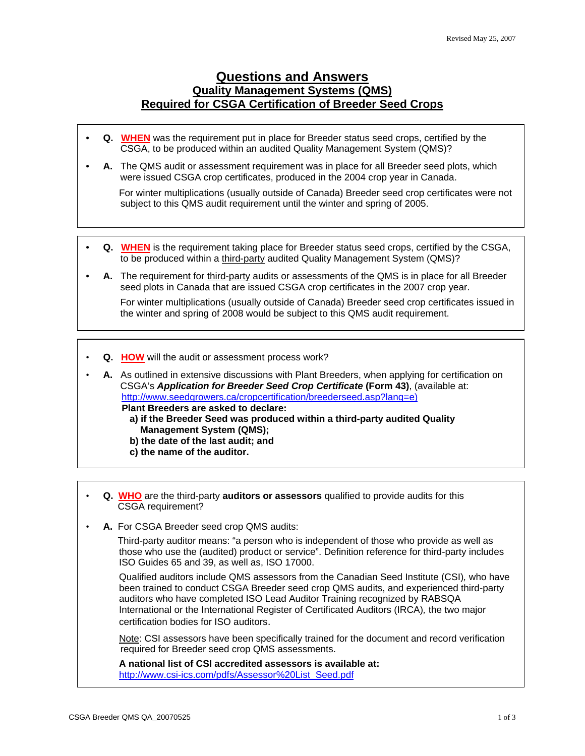## **Questions and Answers Quality Management Systems (QMS) Required for CSGA Certification of Breeder Seed Crops**

- **Q. WHEN** was the requirement put in place for Breeder status seed crops, certified by the CSGA, to be produced within an audited Quality Management System (QMS)?
- **A.** The QMS audit or assessment requirement was in place for all Breeder seed plots, which were issued CSGA crop certificates, produced in the 2004 crop year in Canada.

For winter multiplications (usually outside of Canada) Breeder seed crop certificates were not subject to this QMS audit requirement until the winter and spring of 2005.

- **Q. WHEN** is the requirement taking place for Breeder status seed crops, certified by the CSGA, to be produced within a third-party audited Quality Management System (QMS)?
- **A.** The requirement for third-party audits or assessments of the QMS is in place for all Breeder seed plots in Canada that are issued CSGA crop certificates in the 2007 crop year. For winter multiplications (usually outside of Canada) Breeder seed crop certificates issued in the winter and spring of 2008 would be subject to this QMS audit requirement.
- **Q. HOW** will the audit or assessment process work?

• **A.** As outlined in extensive discussions with Plant Breeders, when applying for certification on CSGA's *Application for Breeder Seed Crop Certificate* **(Form 43)**, (available at: http://www.seedgrowers.ca/cropcertification/breederseed.asp?lang=e)  **Plant Breeders are asked to declare: a) if the Breeder Seed was produced within a third-party audited Quality Management System (QMS); b) the date of the last audit; and c) the name of the auditor.**

- 
- **Q. WHO** are the third-party **auditors or assessors** qualified to provide audits for this CSGA requirement?
- **A.** For CSGA Breeder seed crop QMS audits:

 Third-party auditor means: "a person who is independent of those who provide as well as those who use the (audited) product or service". Definition reference for third-party includes ISO Guides 65 and 39, as well as, ISO 17000.

 Qualified auditors include QMS assessors from the Canadian Seed Institute (CSI)*,* who have been trained to conduct CSGA Breeder seed crop QMS audits, and experienced third-party auditors who have completed ISO Lead Auditor Training recognized by RABSQA International or the International Register of Certificated Auditors (IRCA)*,* the two major certification bodies for ISO auditors.

 Note: CSI assessors have been specifically trained for the document and record verification required for Breeder seed crop QMS assessments.

 **A national list of CSI accredited assessors is available at:**  http://www.csi-ics.com/pdfs/Assessor%20List\_Seed.pdf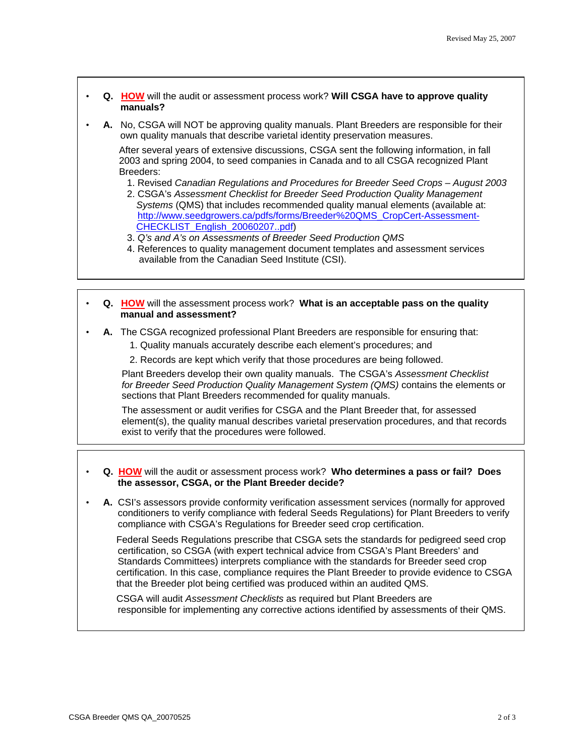- **Q. HOW** will the audit or assessment process work? **Will CSGA have to approve quality manuals?**
- **A.** No, CSGA will NOT be approving quality manuals. Plant Breeders are responsible for their own quality manuals that describe varietal identity preservation measures.

 After several years of extensive discussions, CSGA sent the following information, in fall 2003 and spring 2004, to seed companies in Canada and to all CSGA recognized Plant Breeders:

1. Revised *Canadian Regulations and Procedures for Breeder Seed Crops – August 2003*

- 2. CSGA's *Assessment Checklist for Breeder Seed Production Quality Management Systems* (QMS) that includes recommended quality manual elements (available at: http://www.seedgrowers.ca/pdfs/forms/Breeder%20QMS\_CropCert-Assessment- CHECKLIST\_English\_20060207..pdf)
- 3. *Q's and A's on Assessments of Breeder Seed Production QMS*
- 4. References to quality management document templates and assessment services available from the Canadian Seed Institute (CSI).
- **Q. HOW** will the assessment process work? **What is an acceptable pass on the quality manual and assessment?**
- **A.** The CSGA recognized professional Plant Breeders are responsible for ensuring that:
	- 1. Quality manuals accurately describe each element's procedures; and
	- 2. Records are kept which verify that those procedures are being followed.

 Plant Breeders develop their own quality manuals. The CSGA's *Assessment Checklist for Breeder Seed Production Quality Management System (QMS)* contains the elements or sections that Plant Breeders recommended for quality manuals.

 The assessment or audit verifies for CSGA and the Plant Breeder that, for assessed element(s), the quality manual describes varietal preservation procedures, and that records exist to verify that the procedures were followed.

- **Q. HOW** will the audit or assessment process work?**Who determines a pass or fail? Does the assessor, CSGA, or the Plant Breeder decide?**
- **A.** CSI's assessors provide conformity verification assessment services (normally for approved conditioners to verify compliance with federal Seeds Regulations) for Plant Breeders to verify compliance with CSGA's Regulations for Breeder seed crop certification.

 Federal Seeds Regulations prescribe that CSGA sets the standards for pedigreed seed crop certification, so CSGA (with expert technical advice from CSGA's Plant Breeders' and Standards Committees) interprets compliance with the standards for Breeder seed crop certification. In this case, compliance requires the Plant Breeder to provide evidence to CSGA that the Breeder plot being certified was produced within an audited QMS.

 CSGA will audit *Assessment Checklists* as required but Plant Breeders are responsible for implementing any corrective actions identified by assessments of their QMS.